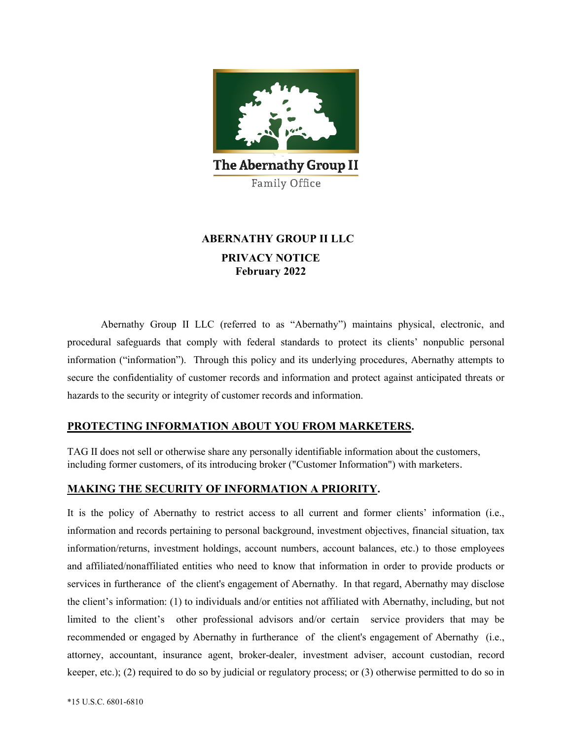

# **ABERNATHY GROUP II LLC PRIVACY NOTICE February 2022**

Abernathy Group II LLC (referred to as "Abernathy") maintains physical, electronic, and procedural safeguards that comply with federal standards to protect its clients' nonpublic personal information ("information"). Through this policy and its underlying procedures, Abernathy attempts to secure the confidentiality of customer records and information and protect against anticipated threats or hazards to the security or integrity of customer records and information.

# **PROTECTING INFORMATION ABOUT YOU FROM MARKETERS.**

TAG II does not sell or otherwise share any personally identifiable information about the customers, including former customers, of its introducing broker ("Customer Information") with marketers.

# **MAKING THE SECURITY OF INFORMATION A PRIORITY.**

It is the policy of Abernathy to restrict access to all current and former clients' information (i.e., information and records pertaining to personal background, investment objectives, financial situation, tax information/returns, investment holdings, account numbers, account balances, etc.) to those employees and affiliated/nonaffiliated entities who need to know that information in order to provide products or services in furtherance of the client's engagement of Abernathy. In that regard, Abernathy may disclose the client's information: (1) to individuals and/or entities not affiliated with Abernathy, including, but not limited to the client's other professional advisors and/or certain service providers that may be recommended or engaged by Abernathy in furtherance of the client's engagement of Abernathy (i.e., attorney, accountant, insurance agent, broker-dealer, investment adviser, account custodian, record keeper, etc.); (2) required to do so by judicial or regulatory process; or (3) otherwise permitted to do so in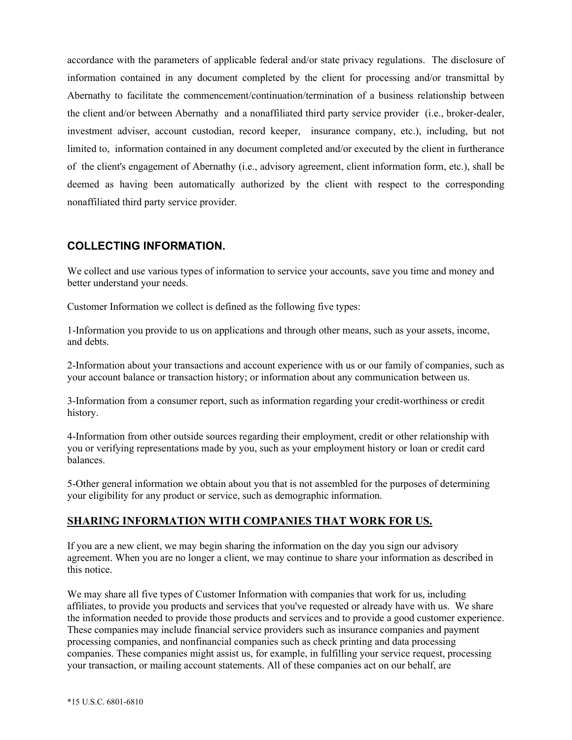accordance with the parameters of applicable federal and/or state privacy regulations. The disclosure of information contained in any document completed by the client for processing and/or transmittal by Abernathy to facilitate the commencement/continuation/termination of a business relationship between the client and/or between Abernathy and a nonaffiliated third party service provider (i.e., broker-dealer, investment adviser, account custodian, record keeper, insurance company, etc.), including, but not limited to, information contained in any document completed and/or executed by the client in furtherance of the client's engagement of Abernathy (i.e., advisory agreement, client information form, etc.), shall be deemed as having been automatically authorized by the client with respect to the corresponding nonaffiliated third party service provider.

# **COLLECTING INFORMATION.**

We collect and use various types of information to service your accounts, save you time and money and better understand your needs.

Customer Information we collect is defined as the following five types:

1-Information you provide to us on applications and through other means, such as your assets, income, and debts.

2-Information about your transactions and account experience with us or our family of companies, such as your account balance or transaction history; or information about any communication between us.

3-Information from a consumer report, such as information regarding your credit-worthiness or credit history.

4-Information from other outside sources regarding their employment, credit or other relationship with you or verifying representations made by you, such as your employment history or loan or credit card balances.

5-Other general information we obtain about you that is not assembled for the purposes of determining your eligibility for any product or service, such as demographic information.

#### **SHARING INFORMATION WITH COMPANIES THAT WORK FOR US.**

If you are a new client, we may begin sharing the information on the day you sign our advisory agreement. When you are no longer a client, we may continue to share your information as described in this notice.

We may share all five types of Customer Information with companies that work for us, including affiliates, to provide you products and services that you've requested or already have with us. We share the information needed to provide those products and services and to provide a good customer experience. These companies may include financial service providers such as insurance companies and payment processing companies, and nonfinancial companies such as check printing and data processing companies. These companies might assist us, for example, in fulfilling your service request, processing your transaction, or mailing account statements. All of these companies act on our behalf, are